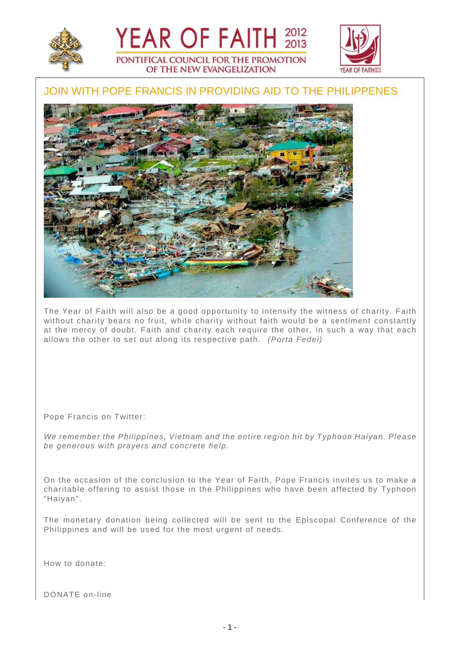



## JOIN WITH POPE FRANCIS IN PROVIDING AID TO THE PHILIPPENES

YEAR OF FAITH 2012

PONTIFICAL COUNCIL FOR THE PROMOTION OF THE NEW EVANGELIZATION



The Year of Faith will also be a good opportunity to intensify the witness of charity. Faith without charity bears no fruit, while charity without faith would be a sentiment constantly at the mercy of doubt. Faith and charity each require the other, in such a way that each allows the other to set out along its respective path. (Porta Fedei)

Pope Francis on Twitter:

We remember the Philippines, Vietnam and the entire region hit by Typhoon Haiyan. Please be generous with prayers and concrete help.

On the occasion of the conclusion to the Year of Faith, Pope Francis invites us to make a charitable offering to assist those in the Philippines who have been affected by Typhoon "Haiyan".

The monetary donation being collected will be sent to the Episcopal Conference of the Philippines and will be used for the most urgent of needs.

How to donate:

DONATE on-line